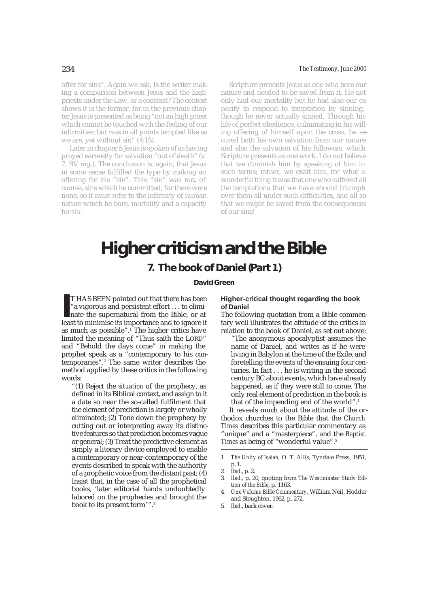offer for sins". Again we ask, Is the writer making a comparison between Jesus and the high priests under the Law, or a contrast? The context shows it is the former, for in the previous chapter Jesus is presented as being "not an high priest which cannot be touched with the feeling of our infirmities; but was in all points tempted like as we are, yet without sin" (4:15).

Later in chapter 5 Jesus is spoken of as having prayed earnestly for salvation "out of death" (v. 7, RV mg.). The conclusion is, again, that Jesus in some sense fulfilled the type by making an offering for his "sin". This "sin" was not, of course, sins which he committed, for there were none, so it must refer to the infirmity of human nature which he bore, mortality and a capacity for sin.

#### 234 *The Testimony, June 2000*

Scripture presents Jesus as one who bore our nature and needed to be saved from it. He not only had our mortality but he had also our capacity to respond to temptation by sinning, though he never actually sinned. Through his life of perfect obedience, culminating in his willing offering of himself upon the cross, he secured both his own salvation from our nature and also the salvation of his followers, which Scripture presents as one work. I do not believe that we diminish him by speaking of him in such terms; rather, we exalt him, for what a wonderful thing it was that one who suffered all the temptations that we have should triumph over them all under such difficulties, and all so that we might be saved from the consequences of our sins!

# **Higher criticism and the Bible**

# **7. The book of Daniel (Part 1)**

## **David Green**

 $\blacksquare$  <br> II HAS BEEN pointed out that there has been "a vigorous and persistent effort . . . to eliminate the supernatural from the Bible, or at least to minimise its importance and to ignore it T HAS BEEN pointed out that there has been "a vigorous and persistent effort . . . to eliminate the supernatural from the Bible, or at as much as possible".1 The higher critics have limited the meaning of "Thus saith the LORD" and "Behold the days come" in making the prophet speak as a "contemporary to his contemporaries".2 The same writer describes the method applied by these critics in the following words:

"(1) Reject the *situation* of the prophecy, as defined in its Biblical context, and assign to it a date so near the so-called fulfilment that the element of prediction is largely or wholly eliminated; (2) Tone down the prophecy by cutting out or interpreting away its distinctive features so that prediction becomes vague or general; (3) Treat the predictive element as simply a literary device employed to enable a contemporary or near-contemporary of the events described to speak with the authority of a prophetic voice from the distant past; (4) Insist that, in the case of all the prophetical books, 'later editorial hands undoubtedly labored on the prophecies and brought the book to its present form'".3

#### **Higher-critical thought regarding the book of Daniel**

The following quotation from a Bible commentary well illustrates the attitude of the critics in relation to the book of Daniel, as set out above:

"The anonymous apocalyptist assumes the name of Daniel, and writes as if he were living in Babylon at the time of the Exile, and foretelling the events of the ensuing four centuries. In fact . . . he is writing in the second century BC about events, which have already happened, as if they were still to come. The only real element of prediction in the book is that of the impending end of the world".4

It reveals much about the attitude of the orthodox churches to the Bible that the *Church Times* describes this particular commentary as "unique" and a "masterpiece", and the *Baptist Times* as being of "wonderful value".5

<sup>1.</sup> *The Unity of Isaiah*, O. T. Allis, Tyndale Press, 1951, p. 1.

<sup>2.</sup> *Ibid*., p. 2.

<sup>3.</sup> *Ibid*., p. 20, quoting from *The Westminster Study Edition of the Bible*, p. 1163.

<sup>4.</sup> *One Volume Bible Commentary*, William Neil, Hodder and Stoughton, 1962, p. 272.

<sup>5.</sup> *Ibid*., back cover.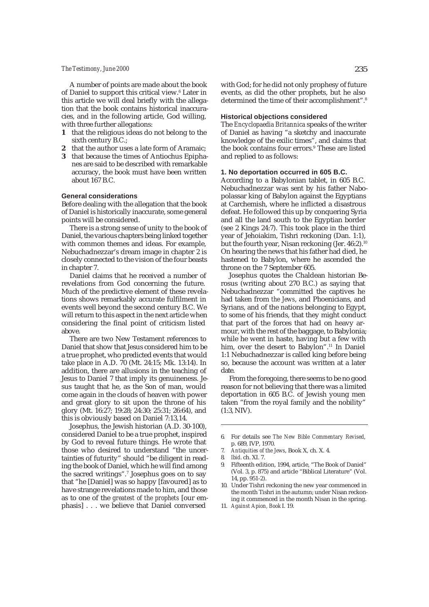#### *The Testimony, June 2000* 235

A number of points are made about the book of Daniel to support this critical view.<sup>6</sup> Later in this article we will deal briefly with the allegation that the book contains historical inaccuracies, and in the following article, God willing, with three further allegations:

- **1** that the religious ideas do not belong to the sixth century B.C.;
- **2** that the author uses a late form of Aramaic;
- **3** that because the times of Antiochus Epiphanes are said to be described with remarkable accuracy, the book must have been written about 167 B.C.

#### **General considerations**

Before dealing with the allegation that the book of Daniel is historically inaccurate, some general points will be considered.

There is a strong sense of unity to the book of Daniel, the various chapters being linked together with common themes and ideas. For example, Nebuchadnezzar's dream image in chapter 2 is closely connected to the vision of the four beasts in chapter 7.

Daniel claims that he received a number of revelations from God concerning the future. Much of the predictive element of these revelations shows remarkably accurate fulfilment in events well beyond the second century B.C. We will return to this aspect in the next article when considering the final point of criticism listed above.

There are two New Testament references to Daniel that show that Jesus considered him to be a true prophet, who predicted events that would take place in A.D. 70 (Mt. 24:15; Mk. 13:14). In addition, there are allusions in the teaching of Jesus to Daniel 7 that imply its genuineness. Jesus taught that he, as the Son of man, would come again in the clouds of heaven with power and great glory to sit upon the throne of his glory (Mt. 16:27; 19:28; 24:30; 25:31; 26:64), and this is obviously based on Daniel 7:13,14.

Josephus, the Jewish historian (A.D. 30-100), considered Daniel to be a true prophet, inspired by God to reveal future things. He wrote that those who desired to understand "the uncertainties of futurity" should "be diligent in reading the book of Daniel, which he will find among the sacred writings".7 Josephus goes on to say that "he [Daniel] was so happy [favoured] as to have strange revelations made to him, and those as to one of the *greatest of the prophets* [our emphasis] . . . we believe that Daniel conversed

with God; for he did not only prophesy of future events, as did the other prophets, but he also determined the time of their accomplishment".8

### **Historical objections considered**

The *Encyclopaedia Britannica* speaks of the writer of Daniel as having "a sketchy and inaccurate knowledge of the exilic times", and claims that the book contains four errors.9 These are listed and replied to as follows:

#### **1. No deportation occurred in 605 B.C.**

According to a Babylonian tablet, in 605 B.C. Nebuchadnezzar was sent by his father Nabopolassar king of Babylon against the Egyptians at Carchemish, where he inflicted a disastrous defeat. He followed this up by conquering Syria and all the land south to the Egyptian border (see 2 Kings 24:7). This took place in the third year of Jehoiakim, Tishri reckoning (Dan. 1:1), but the fourth year, Nisan reckoning (Jer. 46:2).<sup>10</sup> On hearing the news that his father had died, he hastened to Babylon, where he ascended the throne on the 7 September 605.

Josephus quotes the Chaldean historian Berosus (writing about 270 B.C.) as saying that Nebuchadnezzar "committed the captives he had taken from *the Jews*, and Phoenicians, and Syrians, and of the nations belonging to Egypt, to some of his friends, that they might conduct that part of the forces that had on heavy armour, with the rest of the baggage, to Babylonia; while he went in haste, having but a few with him, over the desert to Babylon".11 In Daniel 1:1 Nebuchadnezzar is called king before being so, because the account was written at a later date.

From the foregoing, there seems to be no good reason for not believing that there was a limited deportation in 605 B.C. of Jewish young men taken "from the royal family and the nobility" (1:3, NIV).

- 6. For details see *The New Bible Commentary Revised*, p. 689, IVP, 1970.
- 7. *Antiquities of the Jews*, Book X, ch. X. 4.
- 8. *Ibid*. ch. XI. 7.
- 9. Fifteenth edition, 1994, article, "The Book of Daniel" (Vol. 3, p. 875) and article "Biblical Literature" (Vol. 14, pp. 951-2).
- 10. Under Tishri reckoning the new year commenced in the month Tishri in the autumn; under Nisan reckoning it commenced in the month Nisan in the spring.
- 11. *Against Apion, Book* I. 19.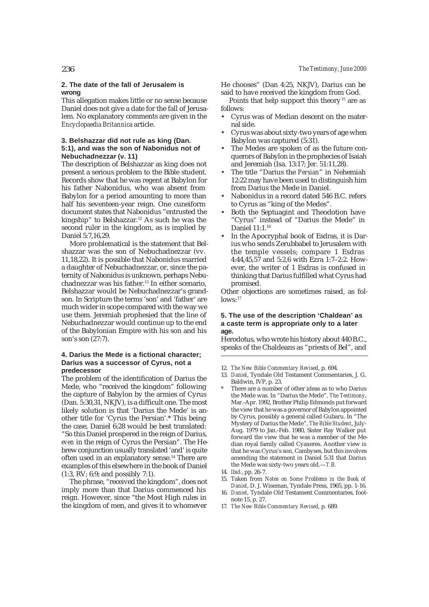#### **2. The date of the fall of Jerusalem is wrong**

This allegation makes little or no sense because Daniel does not give a date for the fall of Jerusalem. No explanatory comments are given in the *Encyclopaedia Britannica* article.

#### **3. Belshazzar did not rule as king (Dan. 5:1), and was the son of Nabonidus not of Nebuchadnezzar (v. 11)**

The description of Belshazzar as king does not present a serious problem to the Bible student. Records show that he was regent at Babylon for his father Nabonidus, who was absent from Babylon for a period amounting to more than half his seventeen-year reign. One cuneiform document states that Nabonidus "entrusted the kingship" to Belshazzar.12 As such he was the second ruler in the kingdom, as is implied by Daniel 5:7,16,29.

More problematical is the statement that Belshazzar was the son of Nebuchadnezzar (vv. 11,18,22). It is possible that Nabonidus married a daughter of Nebuchadnezzar, or, since the paternity of Nabonidus is unknown, perhaps Nebuchadnezzar was his father.13 In either scenario, Belshazzar would be Nebuchadnezzar's grandson. In Scripture the terms 'son' and 'father' are much wider in scope compared with the way we use them. Jeremiah prophesied that the line of Nebuchadnezzar would continue up to the end of the Babylonian Empire with his son and his son's son (27:7).

#### **4. Darius the Mede is a fictional character; Darius was a successor of Cyrus, not a predecessor**

The problem of the identification of Darius the Mede, who "received the kingdom" following the capture of Babylon by the armies of Cyrus (Dan. 5:30,31, NKJV), is a difficult one. The most likely solution is that 'Darius the Mede' is another title for 'Cyrus the Persian'.\* This being the case, Daniel 6:28 would be best translated: "So this Daniel prospered in the reign of Darius, *even* in the reign of Cyrus the Persian". The Hebrew conjunction usually translated 'and' is quite often used in an explanatory sense.14 There are examples of this elsewhere in the book of Daniel (1:3, RV; 6:9; and possibly 7:1).

The phrase, "received the kingdom", does not imply more than that Darius commenced his reign. However, since "the Most High rules in the kingdom of men, and gives it to whomever

He chooses" (Dan 4:25, NKJV), Darius can be said to have received the kingdom from God.

Points that help support this theory<sup>15</sup> are as follows:

- Cyrus was of Median descent on the maternal side.
- Cyrus was about sixty-two years of age when Babylon was captured (5:31).
- The Medes are spoken of as the future conquerors of Babylon in the prophecies of Isaiah and Jeremiah (Isa. 13:17; Jer. 51:11,28).
- The title "Darius the *Persian*" in Nehemiah 12:22 may have been used to distinguish him from Darius the Mede in Daniel.
- Nabonidus in a record dated 546 B.C. refers to Cyrus as "king of the Medes".
- Both the Septuagint and Theodotion have "Cyrus" instead of "Darius the Mede" in Daniel 11:1.16
- In the Apocryphal book of Esdras, it is Darius who sends Zerubbabel to Jerusalem with the temple vessels; compare 1 Esdras 4:44,45,57 and 5:2,6 with Ezra 1:7–2:2. However, the writer of 1 Esdras is confused in thinking that Darius fulfilled what Cyrus had promised.

Other objections are sometimes raised, as follows: 17

#### **5. The use of the description 'Chaldean' as a caste term is appropriate only to a later age.**

Herodotus, who wrote his history about 440 B.C., speaks of the Chaldeans as "priests of Bel", and

12. *The New Bible Commentary Revised*, p. 694.

- 13. *Daniel*, Tyndale Old Testament Commentaries, J. G. Baldwin, IVP, p. 23.
- There are a number of other ideas as to who Darius the Mede was. In "Darius the Mede", *The Testimony*, Mar.-Apr. 1992, Brother Philip Edmonds put forward the view that he was a governor of Babylon appointed by Cyrus, possibly a general called Gubaru. In "The Mystery of Darius the Mede", *The Bible Student*, July-Aug. 1979 to Jan.-Feb. 1980, Sister Ray Walker put forward the view that he was a member of the Median royal family called Cyaxeres. Another view is that he was Cyrus's son, Cambyses, but this involves amending the statement in Daniel 5:31 that Darius the Mede was sixty-two years old.—*T.B.*
- 14. *Ibid.*, pp. 26-7.
- 15. Taken from *Notes on Some Problems in the Book of Daniel*, D. J. Wiseman, Tyndale Press, 1965, pp. 1-16.
- 16. *Daniel*, Tyndale Old Testament Commentaries, footnote 15, p. 27.
- 17. *The New Bible Commentary Revised*, p. 689.